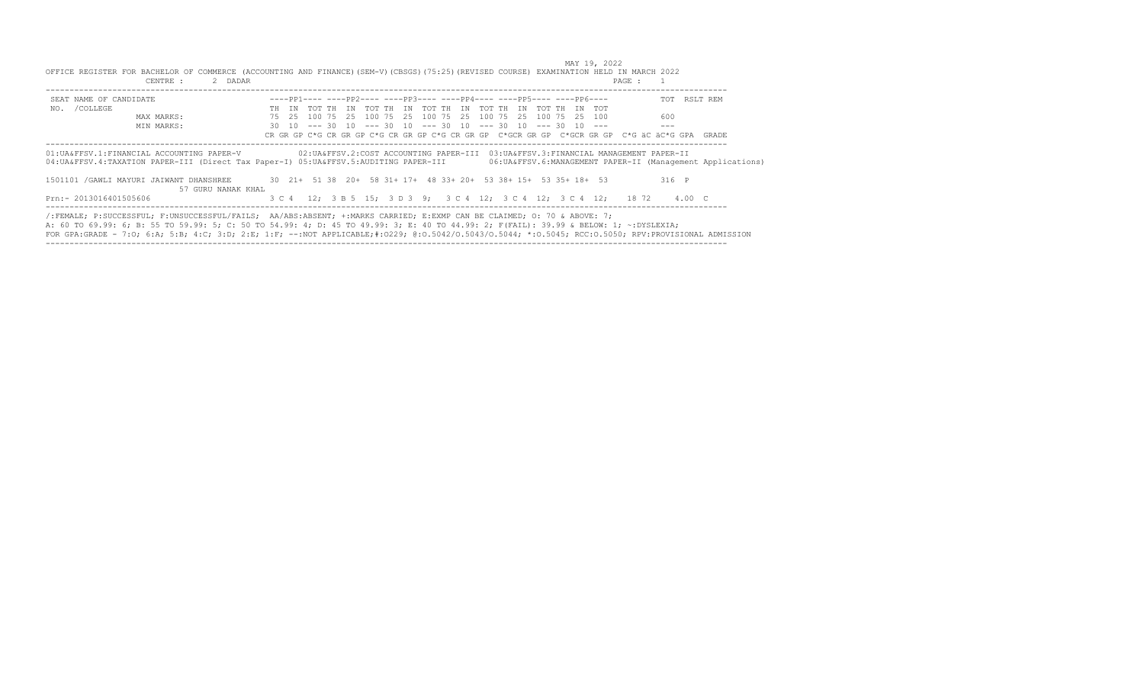| SEAT NAME OF CANDIDATE                                                                                                                  |  | $---pp1--- ----pp2--- ----pp3--- ----pp4--- ----pp5--- ----pp5--- ----pp6--- -$               |  |  |  |  |                                                                                       |         | TOT RSLT REM                                                                                                                                                  |
|-----------------------------------------------------------------------------------------------------------------------------------------|--|-----------------------------------------------------------------------------------------------|--|--|--|--|---------------------------------------------------------------------------------------|---------|---------------------------------------------------------------------------------------------------------------------------------------------------------------|
| NO. / COLLEGE                                                                                                                           |  | TH IN TOT TH IN TOT TH IN TOT TH IN TOT TH IN TOT TH IN TOT                                   |  |  |  |  |                                                                                       |         |                                                                                                                                                               |
| MAX MARKS:                                                                                                                              |  | 75   25   100   75   25   100   75   25   100   75   25   100   75   25   100   75   25   100 |  |  |  |  |                                                                                       | 600     |                                                                                                                                                               |
| MIN MARKS:                                                                                                                              |  | $30$ 10 --- 30 10 --- 30 10 --- 30 10 --- 30 10 --- 30 10 ---                                 |  |  |  |  |                                                                                       |         |                                                                                                                                                               |
|                                                                                                                                         |  |                                                                                               |  |  |  |  |                                                                                       |         |                                                                                                                                                               |
| 01: UA&FFSV.1: FINANCIAL ACCOUNTING PAPER-V<br>04: UA&FFSV.4: TAXATION PAPER-III (Direct Tax Paper-I) 05: UA&FFSV.5: AUDITING PAPER-III |  |                                                                                               |  |  |  |  | 02: UA&FFSV.2: COST ACCOUNTING PAPER-III 03: UA&FFSV.3: FINANCIAL MANAGEMENT PAPER-II |         | CR GR GP C*G CR GR GP C*G CR GR GP C*G CR GR GP C*GCR GR GP C*GCR GR GP C*G äC äC*G GPA GRADE<br>06: UA&FFSV.6: MANAGEMENT PAPER-II (Management Applications) |
| 1501101 /GAWLI MAYURI JAIWANT DHANSHREE 30 21+ 51 38 20+ 58 31+ 17+ 48 33+ 20+ 53 38+ 15+ 53 35+ 18+ 53<br>57 GURU NANAK KHAL           |  |                                                                                               |  |  |  |  |                                                                                       | $316$ P |                                                                                                                                                               |

-----------------------------------------------------------------------------------------------------------------------------------------------

 MAY 19, 2022 OFFICE REGISTER FOR BACHELOR OF COMMERCE (ACCOUNTING AND FINANCE)(SEM-V)(CBSGS)(75:25)(REVISED COURSE) EXAMINATION HELD IN MARCH 2022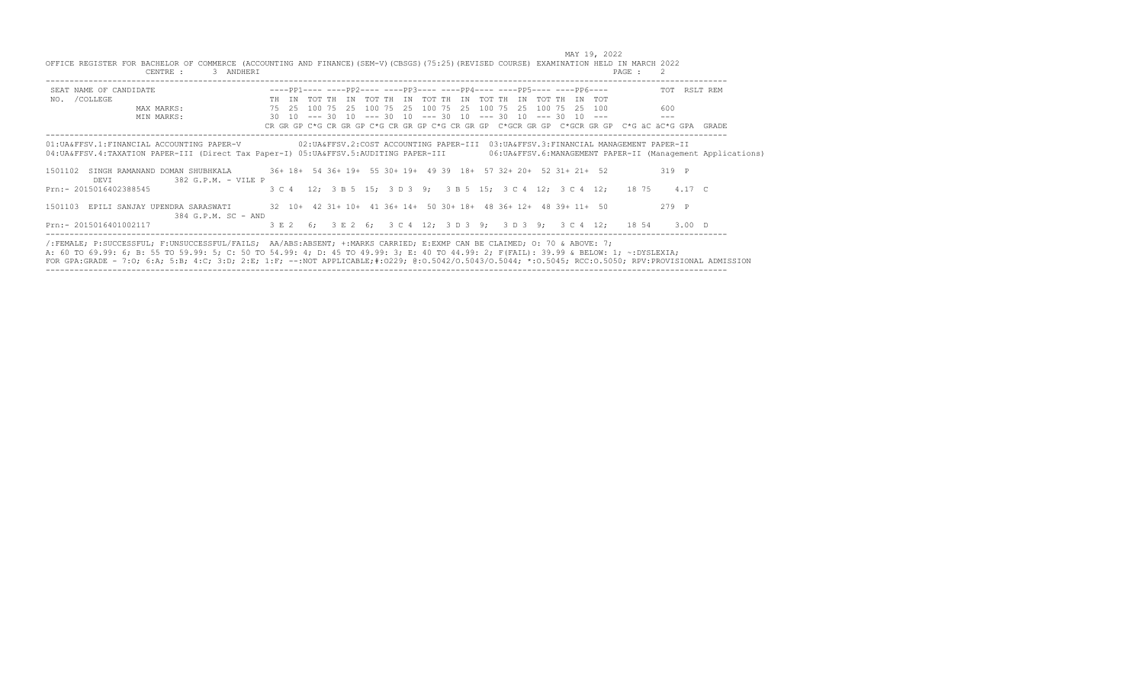| SEAT NAME OF CANDIDATE                                                                                                                                |  |  |  | $---pp1------pp2------pp3------pp4------pp4------pp5---------pp6---$                                                                                                                        |  |  |  |  |                                                                         |         |       | TOT RSLT REM                                                                                  |
|-------------------------------------------------------------------------------------------------------------------------------------------------------|--|--|--|---------------------------------------------------------------------------------------------------------------------------------------------------------------------------------------------|--|--|--|--|-------------------------------------------------------------------------|---------|-------|-----------------------------------------------------------------------------------------------|
| NO. / COLLEGE                                                                                                                                         |  |  |  | TH IN TOT TH IN TOT TH IN TOT TH IN TOT TH IN TOT TH IN TOT                                                                                                                                 |  |  |  |  |                                                                         |         |       |                                                                                               |
| MAX MARKS:                                                                                                                                            |  |  |  | 75   25   100   75   25   100   75   25   100   75   25   100   75   25   100   75   25   100                                                                                               |  |  |  |  |                                                                         | 600     |       |                                                                                               |
| MIN MARKS:                                                                                                                                            |  |  |  | $30$ $10$ $\leftarrow$ $\leftarrow$ 30 $10$ $\leftarrow$ $\leftarrow$ 30 $10$ $\leftarrow$ $\leftarrow$ 30 $10$ $\leftarrow$ $\leftarrow$ 30 $10$ $\leftarrow$ $\leftarrow$ 30 $\leftarrow$ |  |  |  |  |                                                                         | $- - -$ |       |                                                                                               |
|                                                                                                                                                       |  |  |  |                                                                                                                                                                                             |  |  |  |  |                                                                         |         |       | CR GR GP C*G CR GR GP C*G CR GR GP C*G CR GR GP C*GCR GR GP C*GCR GR GP C*G äC äC*G GPA GRADE |
|                                                                                                                                                       |  |  |  |                                                                                                                                                                                             |  |  |  |  |                                                                         |         |       |                                                                                               |
| 01:UA&FFSV.1:FINANCIAL ACCOUNTING PAPER-V 02:UA&FFSV.2:COST ACCOUNTING PAPER-III 03:UA&FFSV.3:FINANCIAL MANAGEMENT PAPER-II                           |  |  |  |                                                                                                                                                                                             |  |  |  |  |                                                                         |         |       |                                                                                               |
|                                                                                                                                                       |  |  |  |                                                                                                                                                                                             |  |  |  |  |                                                                         |         |       |                                                                                               |
| 04: UA&FFSV.4: TAXATION PAPER-III (Direct Tax Paper-I) 05: UA&FFSV.5: AUDITING PAPER-III 06: UA&FFSV.6: MANAGEMENT PAPER-II (Management Applications) |  |  |  |                                                                                                                                                                                             |  |  |  |  |                                                                         |         |       |                                                                                               |
| 1501102                                                                                                                                               |  |  |  |                                                                                                                                                                                             |  |  |  |  |                                                                         |         | 319 P |                                                                                               |
| SINGH RAMANAND DOMAN SHUBHKALA 36+ 18+ 54 36+ 19+ 55 30+ 19+ 49 39 18+ 57 32+ 20+ 52 31+ 21+ 52<br>382 G.P.M. - VILE P<br>DEVI                        |  |  |  |                                                                                                                                                                                             |  |  |  |  |                                                                         |         |       |                                                                                               |
| Prn:- 2015016402388545                                                                                                                                |  |  |  |                                                                                                                                                                                             |  |  |  |  | 3 C 4 12; 3 B 5 15; 3 D 3 9; 3 B 5 15; 3 C 4 12; 3 C 4 12; 18 75 4.17 C |         |       |                                                                                               |
|                                                                                                                                                       |  |  |  |                                                                                                                                                                                             |  |  |  |  |                                                                         |         |       |                                                                                               |
|                                                                                                                                                       |  |  |  |                                                                                                                                                                                             |  |  |  |  |                                                                         |         | 279 P |                                                                                               |
| 1501103 EPILI SANJAY UPENDRA SARASWATI 32 10+ 42 31+ 10+ 41 36+ 14+ 50 30+ 18+ 48 36+ 12+ 48 39+ 11+ 50<br>384 G.P.M. SC - AND                        |  |  |  |                                                                                                                                                                                             |  |  |  |  |                                                                         |         |       |                                                                                               |

/:FEMALE, P:SUCCESSFUL, F:UNSUCCESSFUL/FAILS; AA/ABS:ABSENT, +:MARKS CARRIED, E:EXMP CAN BE CLAIMED; O: 70 & ABOVE: 7;<br>A: 60 TO 69.99: 6; B: 55 TO 59.99: 5; C: 50 TO 54.99: 4; D: 45 TO 49.99: 3; E: 40 TO 44.99: 2; F(FAIL):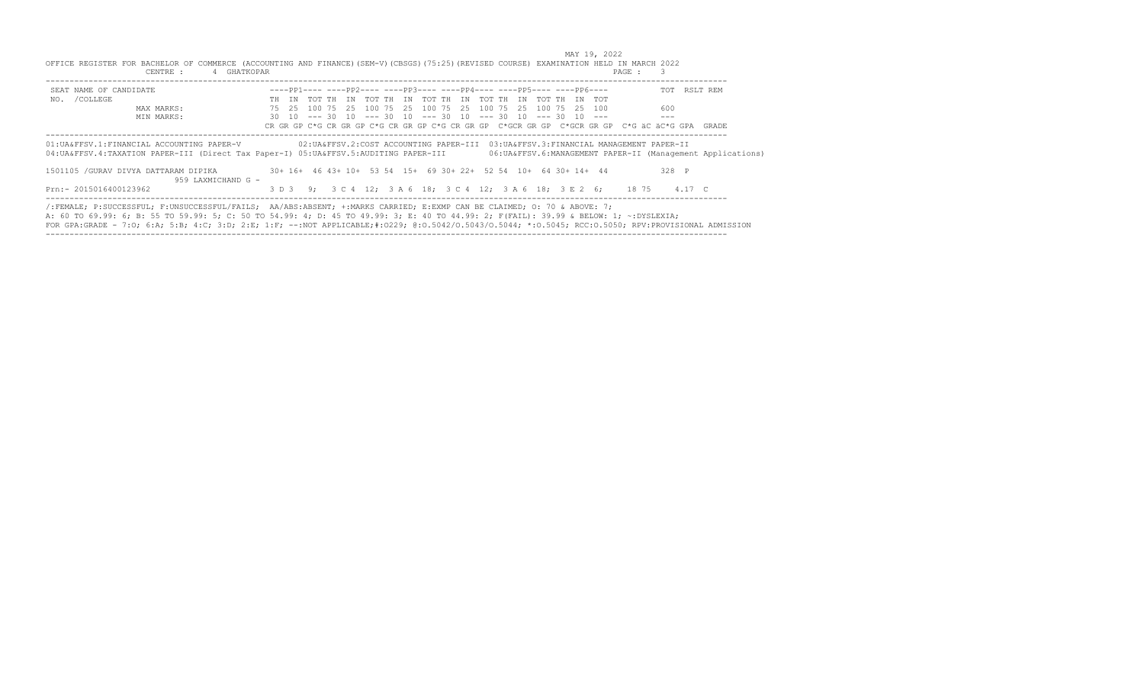| OFFICE REGISTER FOR BACHELOR OF COMMERCE (ACCOUNTING AND FINANCE) (SEM-V) (CBSGS) (75:25) (REVISED COURSE) EXAMINATION HELD IN MARCH 2022<br>CENTRE :                                                                                                                                                                                                                                                                   | 4 GHATKOPAR                                                                           |  |  |  |                                                                                    |  |  |  | PAGE : 3                                                                                   |         |                                                               |
|-------------------------------------------------------------------------------------------------------------------------------------------------------------------------------------------------------------------------------------------------------------------------------------------------------------------------------------------------------------------------------------------------------------------------|---------------------------------------------------------------------------------------|--|--|--|------------------------------------------------------------------------------------|--|--|--|--------------------------------------------------------------------------------------------|---------|---------------------------------------------------------------|
| SEAT NAME OF CANDIDATE                                                                                                                                                                                                                                                                                                                                                                                                  |                                                                                       |  |  |  | $---pp1------pp2------pp3------pp4------pp4------pp5------pp6---$                  |  |  |  |                                                                                            |         | TOT RSLT REM                                                  |
| NO. / COLLEGE                                                                                                                                                                                                                                                                                                                                                                                                           |                                                                                       |  |  |  | TH IN TOT TH IN TOT TH IN TOT TH IN TOT TH IN TOT TH IN TOT                        |  |  |  |                                                                                            |         |                                                               |
| MAX MARKS:                                                                                                                                                                                                                                                                                                                                                                                                              |                                                                                       |  |  |  | 75   25   100   75   25   100   75   25   100   75   25   100   75   25   25   100 |  |  |  |                                                                                            | 600     |                                                               |
| MIN MARKS:                                                                                                                                                                                                                                                                                                                                                                                                              |                                                                                       |  |  |  | $30$ 10 --- 30 10 --- 30 10 --- 30 10 --- 30 10 --- 30 10 ---                      |  |  |  |                                                                                            | $---$   |                                                               |
|                                                                                                                                                                                                                                                                                                                                                                                                                         |                                                                                       |  |  |  |                                                                                    |  |  |  | CR GR GP C*G CR GR GP C*G CR GR GP C*G CR GP C*GCR GR GP C*GCR GR GP C*G äC äC*G GPA GRADE |         |                                                               |
| 01:UA&FFSV.1:FINANCIAL ACCOUNTING PAPER-V<br>04: UA&FFSV.4: TAXATION PAPER-III (Direct Tax Paper-I) 05: UA&FFSV.5: AUDITING PAPER-III                                                                                                                                                                                                                                                                                   |                                                                                       |  |  |  |                                                                                    |  |  |  | 02:UA&FFSV.2:COST ACCOUNTING PAPER-III 03:UA&FFSV.3:FINANCIAL MANAGEMENT PAPER-II          |         | 06: UA&FFSV. 6: MANAGEMENT PAPER-II (Management Applications) |
| 1501105 /GURAV DIVYA DATTARAM DIPIKA                                                                                                                                                                                                                                                                                                                                                                                    | 30+ 16+ 46 43+ 10+ 53 54 15+ 69 30+ 22+ 52 54 10+ 64 30+ 14+ 44<br>959 LAXMICHAND G - |  |  |  |                                                                                    |  |  |  |                                                                                            | $328$ P |                                                               |
| Prn:- 2015016400123962                                                                                                                                                                                                                                                                                                                                                                                                  |                                                                                       |  |  |  |                                                                                    |  |  |  | 3 D 3 9; 3 C 4 12; 3 A 6 18; 3 C 4 12; 3 A 6 18; 3 E 2 6; 18 75 4.17 C                     |         |                                                               |
| (:FEMALE; P:SUCCESSFUL; F:UNSUCCESSFUL/FAILS; AA/ABS:ABSENT; +:MARKS CARRIED; E:EXMP CAN BE CLAIMED; 0: 70 & ABOVE: 7;<br>A: 60 TO 69.99: 6; B: 55 TO 59.99: 5; C: 50 TO 54.99: 4; D: 45 TO 49.99: 3; E: 40 TO 44.99: 2; F(FAIL): 39.99 & BELOW: 1; ~:DYSLEXIA;<br>FOR GPA:GRADE - 7:0; 6:A; 5:B; 4:C; 3:D; 2:E; 1:F; --:NOT APPLICABLE;#:0229; 0:0.5042/0.5043/0.5044; *:0.5045; RCC:0.5050; RPV:PROVISIONAL ADMISSION |                                                                                       |  |  |  |                                                                                    |  |  |  |                                                                                            |         |                                                               |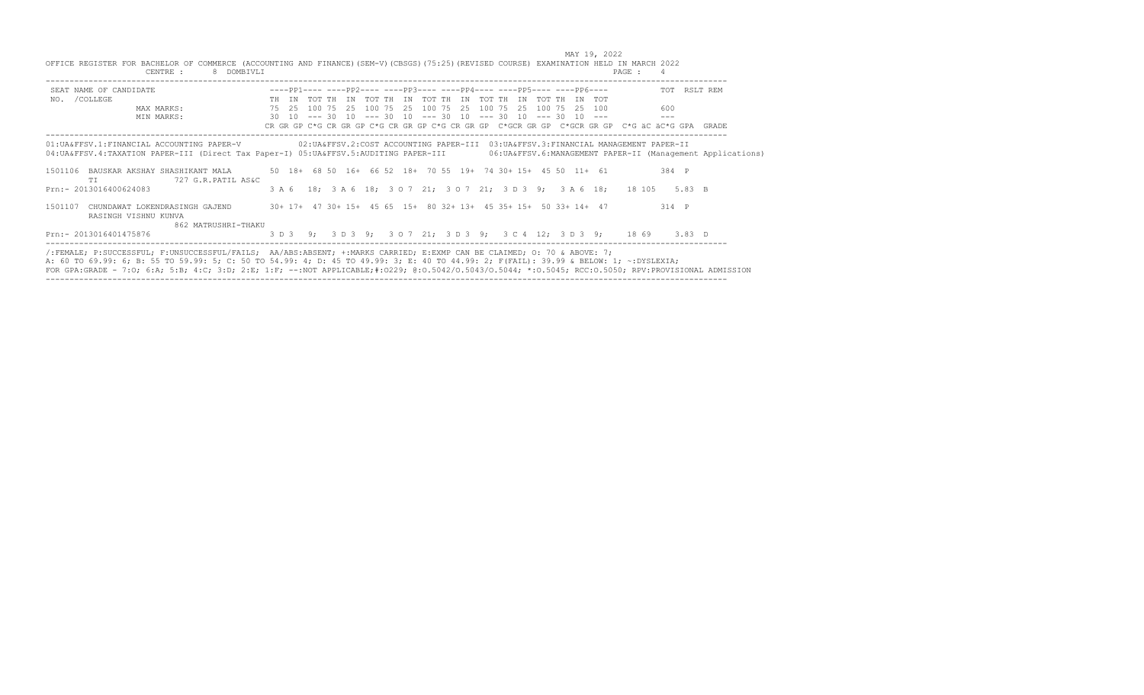|                                                                                          | MAY 19, 2022                                                                                                                                                                                                                                                                                                                                                                                                             |  |
|------------------------------------------------------------------------------------------|--------------------------------------------------------------------------------------------------------------------------------------------------------------------------------------------------------------------------------------------------------------------------------------------------------------------------------------------------------------------------------------------------------------------------|--|
| CENTRE :<br>8 DOMBIVLI                                                                   | OFFICE REGISTER FOR BACHELOR OF COMMERCE (ACCOUNTING AND FINANCE) (SEM-V) (CBSGS) (75:25) (REVISED COURSE) EXAMINATION HELD IN MARCH 2022<br>PAGE :<br>$\overline{4}$                                                                                                                                                                                                                                                    |  |
| SEAT NAME OF CANDIDATE                                                                   | TOT RSLT REM                                                                                                                                                                                                                                                                                                                                                                                                             |  |
| NO. / COLLEGE<br>MAX MARKS:<br>MIN MARKS:                                                | TH IN TOT TH IN TOT TH IN TOT TH IN TOT TH IN TOT TH IN TOT<br>100 75 25 100 75 25 100 75 25 100 75 25 100 75 25 100<br>75 25<br>600<br>$30$ $10$ $\leftarrow$ $\leftarrow$ 30 $10$ $\leftarrow$ $\leftarrow$ 30 $10$ $\leftarrow$ $\leftarrow$ 30 $10$ $\leftarrow$ $\leftarrow$ 30 $10$ $\leftarrow$ $\leftarrow$ 30 $10$ $\leftarrow$ $\leftarrow$                                                                    |  |
|                                                                                          | CR GR GP C*G CR GR GP C*G CR GR GP C*G CR GR GP C*GCR GR GP C*GCR GR GP C*G äC äC*G GPA GRADE                                                                                                                                                                                                                                                                                                                            |  |
|                                                                                          | 01:UA&FFSV.1:FINANCIAL ACCOUNTING PAPER-V 02:UA&FFSV.2:COST ACCOUNTING PAPER-III 03:UA&FFSV.3:FINANCIAL MANAGEMENT PAPER-II<br>04: UA&FFSV.4: TAXATION PAPER-III (Direct Tax Paper-I) 05: UA&FFSV.5: AUDITING PAPER-III 06: UA&FFSV.6: MANAGEMENT PAPER-II (Management Applications)                                                                                                                                     |  |
| BAUSKAR AKSHAY SHASHIKANT MALA<br>1501106<br>727 G.R.PATIL AS&C<br>TT.                   | 50 18+ 68 50 16+ 66 52 18+ 70 55 19+ 74 30+ 15+ 45 50 11+ 61<br>384 P                                                                                                                                                                                                                                                                                                                                                    |  |
| Prn: - 2013016400624083                                                                  | 3 A 6 18; 3 A 6 18; 3 O 7 21; 3 O 7 21; 3 D 3 9; 3 A 6 18; 18 105 5.83 B                                                                                                                                                                                                                                                                                                                                                 |  |
| 1501107<br>CHUNDAWAT LOKENDRASINGH GAJEND<br>RASINGH VISHNU KUNVA<br>862 MATRUSHRI-THAKU | 30+ 17+ 47 30+ 15+ 45 65 15+ 80 32+ 13+ 45 35+ 15+ 50 33+ 14+ 47<br>314 P                                                                                                                                                                                                                                                                                                                                                |  |
| Prn:- 2013016401475876                                                                   | 3 D 3 9; 3 D 3 9; 3 O 7 21; 3 D 3 9; 3 C 4 12; 3 D 3 9; 18 69 3.83 D                                                                                                                                                                                                                                                                                                                                                     |  |
|                                                                                          | /:FEMALE; P:SUCCESSFUL; F:UNSUCCESSFUL/FAILS; AA/ABS:ABSENT; +:MARKS CARRIED; E:EXMP CAN BE CLAIMED; O: 70 & ABOVE: 7;<br>A: 60 TO 69.99: 6; B: 55 TO 59.99: 5; C: 50 TO 54.99: 4; D: 45 TO 49.99: 3; E: 40 TO 44.99: 2; F(FAIL): 39.99 & BELOW: 1; ~: DYSLEXIA;<br>FOR GPA:GRADE - 7:0; 6:A; 5:B; 4:C; 3:D; 2:E; 1:F; --:NOT APPLICABLE;#:0229; 0:0.5042/0.5043/0.5044; *:0.5045; RCC:0.5050; RPV:PROVISIONAL ADMISSION |  |

-----------------------------------------------------------------------------------------------------------------------------------------------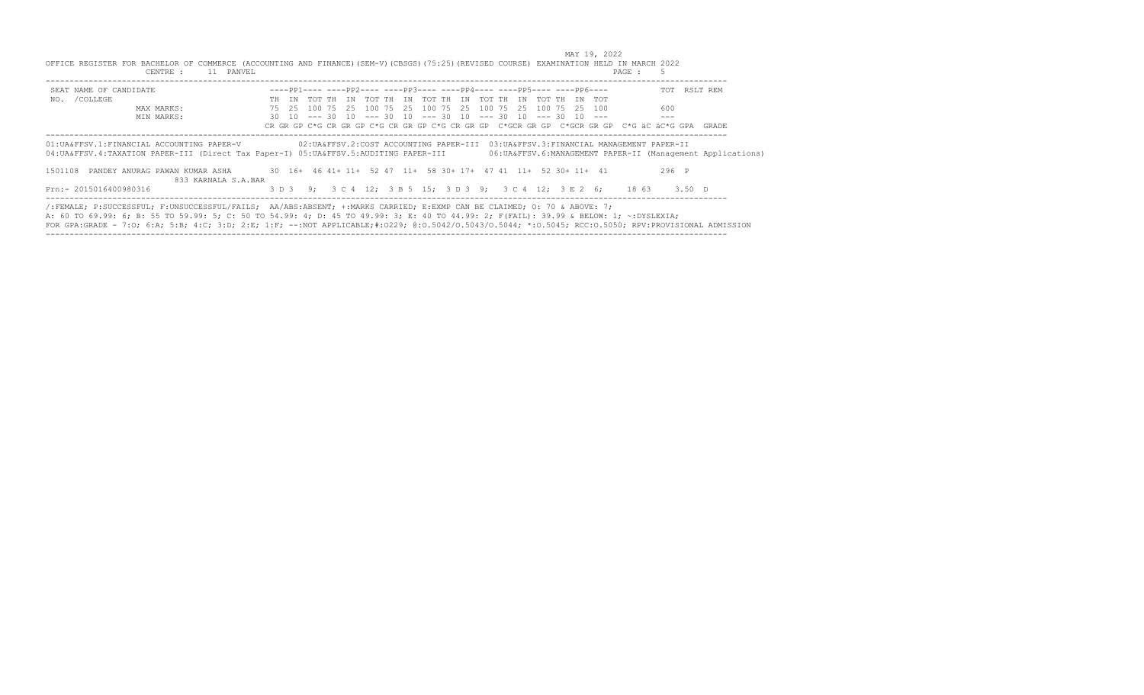| OFFICE REGISTER FOR BACHELOR OF COMMERCE (ACCOUNTING AND FINANCE) (SEM-V) (CBSGS) (75:25) (REVISED COURSE) EXAMINATION HELD IN MARCH 2022<br>CENTRE :                                                                                                                                                                                                                                                                   | 11 PANVEL                                                                                                            |  |  |  |                                                                                    |  |  |  | PAGE :                                                                                        | - 5   |                                                               |
|-------------------------------------------------------------------------------------------------------------------------------------------------------------------------------------------------------------------------------------------------------------------------------------------------------------------------------------------------------------------------------------------------------------------------|----------------------------------------------------------------------------------------------------------------------|--|--|--|------------------------------------------------------------------------------------|--|--|--|-----------------------------------------------------------------------------------------------|-------|---------------------------------------------------------------|
| SEAT NAME OF CANDIDATE                                                                                                                                                                                                                                                                                                                                                                                                  |                                                                                                                      |  |  |  | $---pp1------pp2------pp3------pp4------pp5------PP5------PP6---$                  |  |  |  |                                                                                               |       | TOT RSLT REM                                                  |
| NO. / COLLEGE                                                                                                                                                                                                                                                                                                                                                                                                           |                                                                                                                      |  |  |  | TH IN TOT TH IN TOT TH IN TOT TH IN TOT TH IN TOT TH IN TOT                        |  |  |  |                                                                                               |       |                                                               |
| MAX MARKS:                                                                                                                                                                                                                                                                                                                                                                                                              |                                                                                                                      |  |  |  | 75   25   100   75   25   100   75   25   100   75   25   100   75   25   25   100 |  |  |  |                                                                                               | 600   |                                                               |
| MIN MARKS:                                                                                                                                                                                                                                                                                                                                                                                                              |                                                                                                                      |  |  |  | 30 10 --- 30 10 --- 30 10 --- 30 10 --- 30 10 --- 30 10 ---                        |  |  |  | CR GR GP C*G CR GR GP C*G CR GR GP C*G CR GR GP C*GCR GR GP C*GCR GR GP C*G äC äC*G GPA GRADE | $---$ |                                                               |
| 01: UA&FFSV.1: FINANCIAL ACCOUNTING PAPER-V<br>04:UA&FFSV.4:TAXATION PAPER-III (Direct Tax Paper-I) 05:UA&FFSV.5:AUDITING PAPER-III                                                                                                                                                                                                                                                                                     |                                                                                                                      |  |  |  |                                                                                    |  |  |  | 02: UA&FFSV. 2: COST ACCOUNTING PAPER-III 03: UA&FFSV. 3: FINANCIAL MANAGEMENT PAPER-II       |       | 06: UA&FFSV. 6: MANAGEMENT PAPER-II (Management Applications) |
| 1501108                                                                                                                                                                                                                                                                                                                                                                                                                 | PANDEY ANURAG PAWAN KUMAR ASHA 30 16+ 46 41+ 11+ 52 47 11+ 58 30+ 17+ 47 41 11+ 52 30+ 11+ 41<br>833 KARNALA S.A.BAR |  |  |  |                                                                                    |  |  |  |                                                                                               | 296 P |                                                               |
| Prn:- 2015016400980316                                                                                                                                                                                                                                                                                                                                                                                                  |                                                                                                                      |  |  |  |                                                                                    |  |  |  | 3 D 3 9; 3 C 4 12; 3 B 5 15; 3 D 3 9; 3 C 4 12; 3 E 2 6; 18 63 3.50 D                         |       |                                                               |
| /:FEMALE; P:SUCCESSFUL; F:UNSUCCESSFUL/FAILS; AA/ABS:ABSENT; +:MARKS CARRIED; E:EXMP CAN BE CLAIMED; 0: 70 & ABOVE: 7;<br>A: 60 TO 69.99: 6; B: 55 TO 59.99: 5; C: 50 TO 54.99: 4; D: 45 TO 49.99: 3; E: 40 TO 44.99: 2; F(FAIL): 39.99 & BELOW: 1; ~:DYSLEXIA;<br>FOR GPA:GRADE - 7:0; 6:A; 5:B; 4:C; 3:D; 2:E; 1:F; --:NOT APPLICABLE;#:0229; 0:0.5042/0.5043/0.5044; *:0.5045; RCC:0.5050; RPV:PROVISIONAL ADMISSION |                                                                                                                      |  |  |  |                                                                                    |  |  |  |                                                                                               |       |                                                               |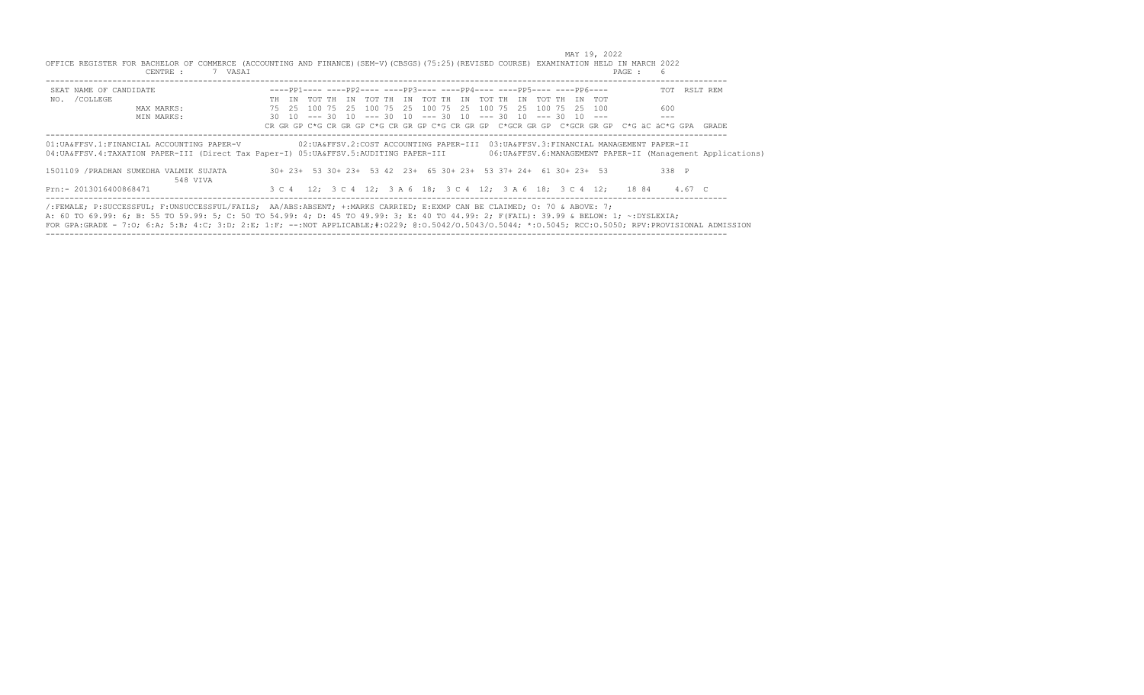| CENTRE :<br>7 VASAI                                 | OFFICE REGISTER FOR BACHELOR OF COMMERCE (ACCOUNTING AND FINANCE) (SEM-V) (CBSGS) (75:25) (REVISED COURSE) EXAMINATION HELD IN MARCH 2022<br>PAGE :<br>- 6                                                                                                                                                                                                                                                              |  |
|-----------------------------------------------------|-------------------------------------------------------------------------------------------------------------------------------------------------------------------------------------------------------------------------------------------------------------------------------------------------------------------------------------------------------------------------------------------------------------------------|--|
| SEAT NAME OF CANDIDATE                              | $---pp1------pp2------pp3------pp4------pp5------PP5------PP6---$<br>TOT RSLT REM                                                                                                                                                                                                                                                                                                                                       |  |
| NO. / COLLEGE                                       | TH IN TOT TH IN TOT TH IN TOT TH IN TOT TH IN TOT TH IN TOT                                                                                                                                                                                                                                                                                                                                                             |  |
| MAX MARKS:                                          | 75   25   100   75   25   100   75   25   100   75   25   100   75   25   25   100<br>600                                                                                                                                                                                                                                                                                                                               |  |
| MIN MARKS:                                          | 30 10 --- 30 10 --- 30 10 --- 30 10 --- 30 10 --- 30 10 ---<br>$---$<br>CR GR GP C*G CR GR GP C*G CR GR GP C*G CR GR GP C*GCR GR GP C*GCR GR GP C*G äC äC*G GPA GRADE                                                                                                                                                                                                                                                   |  |
| 01: UA&FFSV.1: FINANCIAL ACCOUNTING PAPER-V         | 02: UA&FFSV.2: COST ACCOUNTING PAPER-III 03: UA&FFSV.3: FINANCIAL MANAGEMENT PAPER-II<br>04: UA&FFSV.4: TAXATION PAPER-III (Direct Tax Paper-I) 05: UA&FFSV.5: AUDITING PAPER-III<br>06: UA&FFSV. 6: MANAGEMENT PAPER-II (Management Applications)                                                                                                                                                                      |  |
| 1501109 / PRADHAN SUMEDHA VALMIK SUJATA<br>548 VIVA | 30+ 23+ 53 30+ 23+ 53 42 23+ 65 30+ 23+ 53 37+ 24+ 61 30+ 23+ 53<br>338 P                                                                                                                                                                                                                                                                                                                                               |  |
| Prn:- 2013016400868471                              | 3 C 4 12; 3 C 4 12; 3 A 6 18; 3 C 4 12; 3 A 6 18; 3 C 4 12; 18 84 4.67 C                                                                                                                                                                                                                                                                                                                                                |  |
|                                                     | /:FEMALE; P:SUCCESSFUL; F:UNSUCCESSFUL/FAILS; AA/ABS:ABSENT; +:MARKS CARRIED; E:EXMP CAN BE CLAIMED; 0: 70 & ABOVE: 7;<br>A: 60 TO 69.99: 6; B: 55 TO 59.99: 5; C: 50 TO 54.99: 4; D: 45 TO 49.99: 3; E: 40 TO 44.99: 2; F(FAIL): 39.99 & BELOW: 1; ~:DYSLEXIA;<br>FOR GPA:GRADE - 7:0; 6:A; 5:B; 4:C; 3:D; 2:E; 1:F; --:NOT APPLICABLE;#:0229; 0:0.5042/0.5043/0.5044; *:0.5045; RCC:0.5050; RPV:PROVISIONAL ADMISSION |  |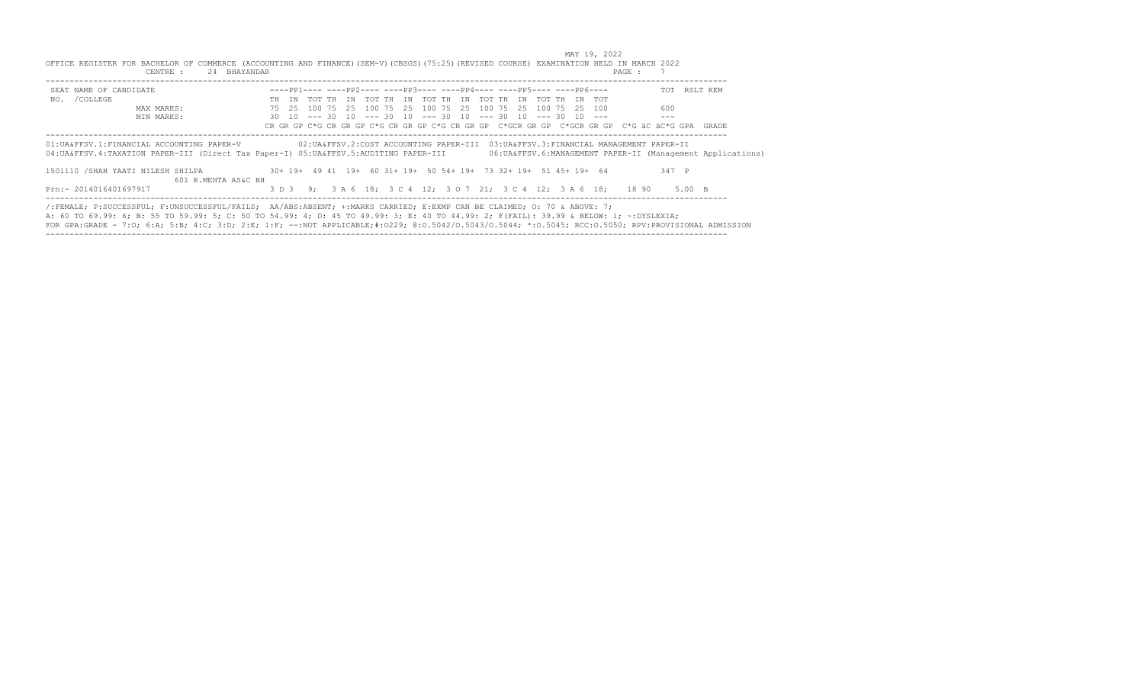| OFFICE REGISTER FOR BACHELOR OF COMMERCE (ACCOUNTING AND FINANCE) (SEM-V) (CBSGS) (75:25) (REVISED COURSE) EXAMINATION HELD IN MARCH 2022<br>CENTRE :                                                                                                                                                                                                                                                                   | 24 BHAYANDAR        |  |  |  |                                                                                               |  |  |  | PAGE : |       |                                                               |
|-------------------------------------------------------------------------------------------------------------------------------------------------------------------------------------------------------------------------------------------------------------------------------------------------------------------------------------------------------------------------------------------------------------------------|---------------------|--|--|--|-----------------------------------------------------------------------------------------------|--|--|--|--------|-------|---------------------------------------------------------------|
| SEAT NAME OF CANDIDATE                                                                                                                                                                                                                                                                                                                                                                                                  |                     |  |  |  | $---pp1------pp2------pp3------pp4------pp4------pp5------pp6---$                             |  |  |  |        |       | TOT RSLT REM                                                  |
| NO. / COLLEGE                                                                                                                                                                                                                                                                                                                                                                                                           |                     |  |  |  | TH IN TOT TH IN TOT TH IN TOT TH IN TOT TH IN TOT TH IN TOT                                   |  |  |  |        |       |                                                               |
| MAX MARKS:                                                                                                                                                                                                                                                                                                                                                                                                              |                     |  |  |  | 75   25   100   75   25   100   75   25   100   75   25   100   75   25   25   100            |  |  |  |        | 600   |                                                               |
| MIN MARKS:                                                                                                                                                                                                                                                                                                                                                                                                              |                     |  |  |  | $30$ 10 --- 30 10 --- 30 10 --- 30 10 --- 30 10 --- 30 10 ---                                 |  |  |  |        | $---$ |                                                               |
|                                                                                                                                                                                                                                                                                                                                                                                                                         |                     |  |  |  | CR GR GP C*G CR GR GP C*G CR GR GP C*G CR GR GP C*GCR GR GP C*GCR GR GP C*G äC äC*G GPA GRADE |  |  |  |        |       |                                                               |
| 01:UA&FFSV.1:FINANCIAL ACCOUNTING PAPER-V<br>04:UA&FFSV.4:TAXATION PAPER-III (Direct Tax Paper-I) 05:UA&FFSV.5:AUDITING PAPER-III                                                                                                                                                                                                                                                                                       |                     |  |  |  | 02:UA&FFSV.2:COST ACCOUNTING PAPER-III 03:UA&FFSV.3:FINANCIAL MANAGEMENT PAPER-II             |  |  |  |        |       | 06: UA&FFSV. 6: MANAGEMENT PAPER-II (Management Applications) |
| 1501110 /SHAH YAATI NILESH SHILPA                                                                                                                                                                                                                                                                                                                                                                                       | 601 R.MEHTA AS&C BH |  |  |  | 30+ 19+ 49 41 19+ 60 31+ 19+ 50 54+ 19+ 73 32+ 19+ 51 45+ 19+ 64                              |  |  |  |        | 347 P |                                                               |
| Prn:- 2014016401697917                                                                                                                                                                                                                                                                                                                                                                                                  |                     |  |  |  | 3 D 3 9; 3 A 6 18; 3 C 4 12; 3 O 7 21; 3 C 4 12; 3 A 6 18; 18 90 5.00 B                       |  |  |  |        |       |                                                               |
| /:FEMALE; P:SUCCESSFUL; F:UNSUCCESSFUL/FAILS; AA/ABS:ABSENT; +:MARKS CARRIED; E:EXMP CAN BE CLAIMED; O: 70 & ABOVE: 7;<br>A: 60 TO 69.99: 6; B: 55 TO 59.99: 5; C: 50 TO 54.99: 4; D: 45 TO 49.99: 3; E: 40 TO 44.99: 2; F(FAIL): 39.99 & BELOW: 1; ~:DYSLEXIA;<br>FOR GPA:GRADE - 7:0; 6:A; 5:B; 4:C; 3:D; 2:E; 1:F; --:NOT APPLICABLE;#:0229; 0:0.5042/0.5043/0.5044; *:0.5045; RCC:0.5050; RPV:PROVISIONAL ADMISSION |                     |  |  |  |                                                                                               |  |  |  |        |       |                                                               |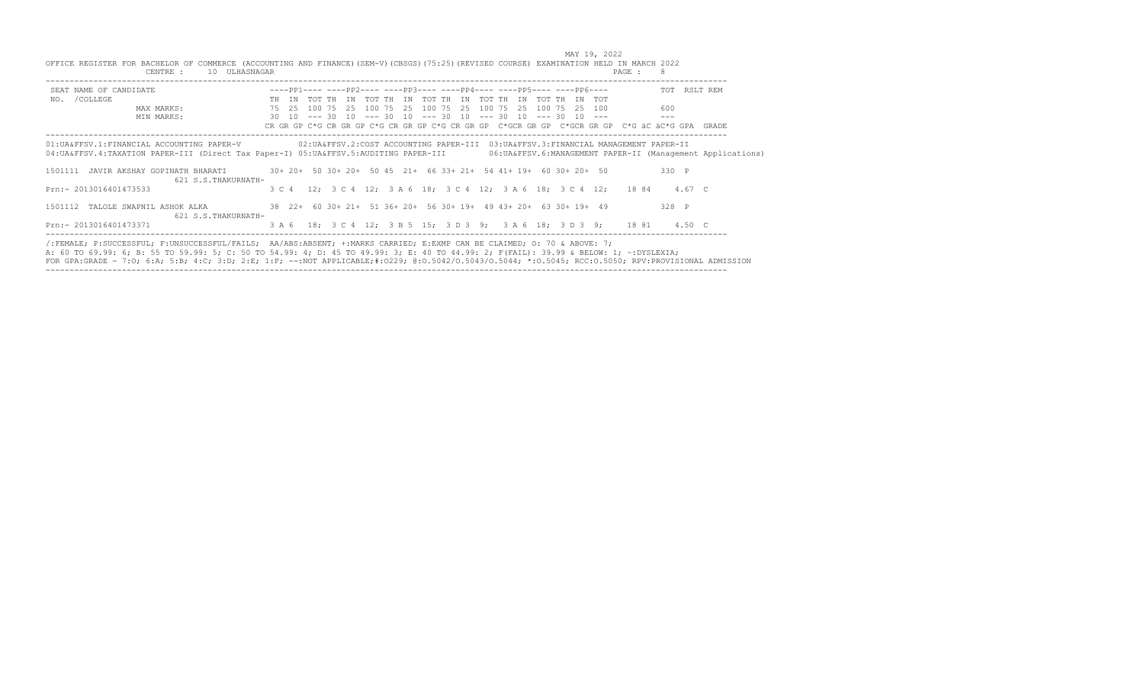| OFFICE REGISTER FOR BACHELOR OF COMMERCE (ACCOUNTING AND FINANCE) (SEM-V) (CBSGS) (75:25) (REVISED COURSE) EXAMINATION HELD IN MARCH 2022<br>CENTRE :<br>10 ULHASNAGAR                                                                                                               |  |  |                                                                                                                                                                                             |  |  |  |  | PAGE : 8 |     |       |              |
|--------------------------------------------------------------------------------------------------------------------------------------------------------------------------------------------------------------------------------------------------------------------------------------|--|--|---------------------------------------------------------------------------------------------------------------------------------------------------------------------------------------------|--|--|--|--|----------|-----|-------|--------------|
| SEAT NAME OF CANDIDATE                                                                                                                                                                                                                                                               |  |  | $---pp1--- ----pp2--- ----pp3--- ----pp4--- ----pp5--- ----pp5---$                                                                                                                          |  |  |  |  |          |     |       | TOT RSLT REM |
| NO. / COLLEGE                                                                                                                                                                                                                                                                        |  |  | TH IN TOT TH IN TOT TH IN TOT TH IN TOT TH IN TOT TH IN TOT                                                                                                                                 |  |  |  |  |          |     |       |              |
| MAX MARKS:                                                                                                                                                                                                                                                                           |  |  | 75   25   100   75   25   100   75   25   100   75   25   100   75   25   100   75   25   100                                                                                               |  |  |  |  |          | 600 |       |              |
| MIN MARKS:                                                                                                                                                                                                                                                                           |  |  | $30$ $10$ $\leftarrow$ $\leftarrow$ 30 $10$ $\leftarrow$ $\leftarrow$ 30 $10$ $\leftarrow$ $\leftarrow$ 30 $10$ $\leftarrow$ $\leftarrow$ 30 $10$ $\leftarrow$ $\leftarrow$ 30 $\leftarrow$ |  |  |  |  |          |     |       |              |
|                                                                                                                                                                                                                                                                                      |  |  | CR GR GP C*G CR GR GP C*G CR GR GP C*G CR GP C*GCR GP C*GCR GP C*GCR GR GP C*G äC äC*G GPA GRADE                                                                                            |  |  |  |  |          |     |       |              |
| 01:UA&FFSV.1:FINANCIAL ACCOUNTING PAPER-V 02:UA&FFSV.2:COST ACCOUNTING PAPER-III 03:UA&FFSV.3:FINANCIAL MANAGEMENT PAPER-II<br>04: UA&FFSV.4: TAXATION PAPER-III (Direct Tax Paper-I) 05: UA&FFSV.5: AUDITING PAPER-III 06: UA&FFSV.6: MANAGEMENT PAPER-II (Management Applications) |  |  |                                                                                                                                                                                             |  |  |  |  |          |     |       |              |
| 1501111 JAVIR AKSHAY GOPINATH BHARATI<br>621 S.S. THAKURNATH-                                                                                                                                                                                                                        |  |  | 30+ 20+ 50 30+ 20+ 50 45 21+ 66 33+ 21+ 54 41+ 19+ 60 30+ 20+ 50                                                                                                                            |  |  |  |  |          |     | 330 P |              |
| Prn:- 2013016401473533                                                                                                                                                                                                                                                               |  |  | 3 C 4 12; 3 C 4 12; 3 A 6 18; 3 C 4 12; 3 A 6 18; 3 C 4 12; 18 84 4.67 C                                                                                                                    |  |  |  |  |          |     |       |              |
| 1501112 TALOLE SWAPNIL ASHOK ALKA<br>621 S.S. THAKURNATH-                                                                                                                                                                                                                            |  |  | 38 22+ 60 30+ 21+ 51 36+ 20+ 56 30+ 19+ 49 43+ 20+ 63 30+ 19+ 49                                                                                                                            |  |  |  |  |          |     | 328 P |              |
| Prn:- 2013016401473371                                                                                                                                                                                                                                                               |  |  | 3 A 6 18; 3 C 4 12; 3 B 5 15; 3 D 3 9; 3 A 6 18; 3 D 3 9; 18 81 4.50 C                                                                                                                      |  |  |  |  |          |     |       |              |
| /:FEMALE; P:SUCCESSFUL; F:UNSUCCESSFUL/FAILS; AA/ABS:ABSENT; +:MARKS CARRIED; E:EXMP CAN BE CLAIMED; O: 70 & ABOVE: 7;<br>A: 60 TO 69.99: 6; B: 55 TO 59.99: 5; C: 50 TO 54.99: 4; D: 45 TO 49.99: 3; E: 40 TO 44.99: 2; F(FAIL): 39.99 & BELOW: 1; ~: DYSLEXIA;                     |  |  |                                                                                                                                                                                             |  |  |  |  |          |     |       |              |

FOR GPA:GRADE - 7:O; 6:A; 5:B; 4:C; 3:D; 2:E; 1:F; --:NOT APPLICABLE;#:O229; @:O.5042/O.5043/O.5044; \*:O.5045; RCC:O.5050; RPV:PROVISIONAL ADMISSION -----------------------------------------------------------------------------------------------------------------------------------------------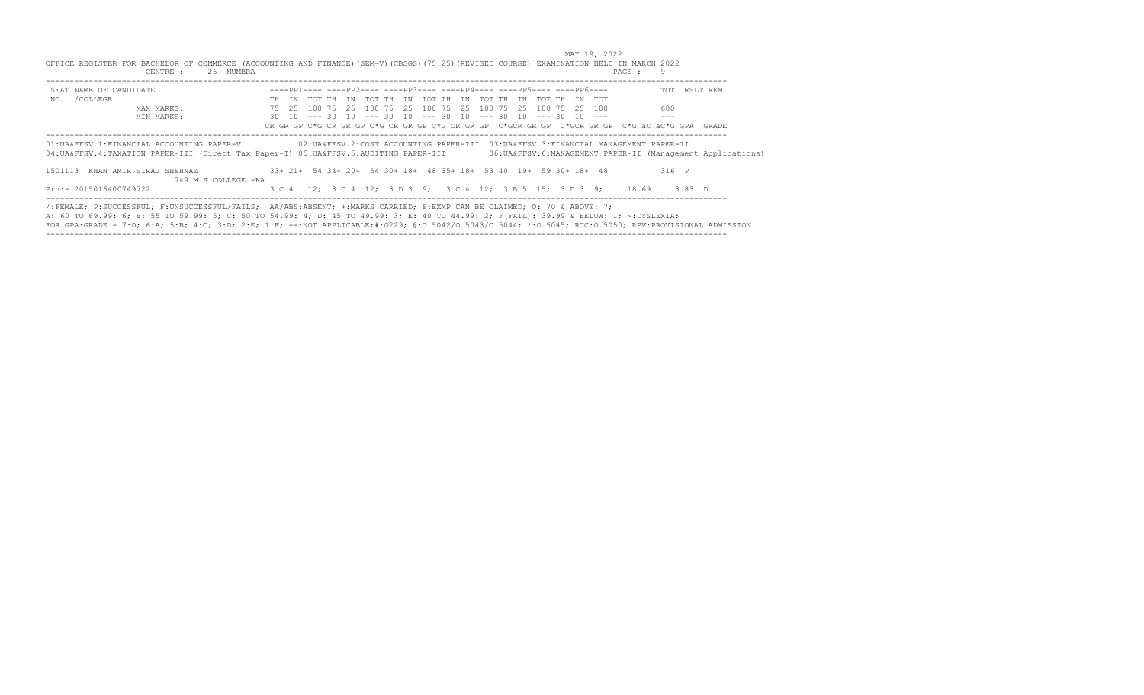| OFFICE REGISTER FOR BACHELOR OF COMMERCE (ACCOUNTING AND FINANCE) (SEM-V) (CBSGS) (75:25) (REVISED COURSE) EXAMINATION HELD IN MARCH 2022<br>CENTRE :                                                                                                                                                                                                                                                                   | 26 MUMBRA           |  |  |  |                                                                                                                                                             |  |  |  | PAGE : 9 |         |                                                              |
|-------------------------------------------------------------------------------------------------------------------------------------------------------------------------------------------------------------------------------------------------------------------------------------------------------------------------------------------------------------------------------------------------------------------------|---------------------|--|--|--|-------------------------------------------------------------------------------------------------------------------------------------------------------------|--|--|--|----------|---------|--------------------------------------------------------------|
| SEAT NAME OF CANDIDATE                                                                                                                                                                                                                                                                                                                                                                                                  |                     |  |  |  | $---PP1------PP2------PP3------PP4-------1---PP5---------PP6---$                                                                                            |  |  |  |          |         | TOT RSLT REM                                                 |
| NO. / COLLEGE                                                                                                                                                                                                                                                                                                                                                                                                           |                     |  |  |  | TH IN TOT TH IN TOT TH IN TOT TH IN TOT TH IN TOT TH IN TOT                                                                                                 |  |  |  |          |         |                                                              |
| MAX MARKS:                                                                                                                                                                                                                                                                                                                                                                                                              |                     |  |  |  | 75   25   100   75   25   100   75   25   100   75   25   100   75   25   25   100                                                                          |  |  |  |          | 600     |                                                              |
| MIN MARKS:                                                                                                                                                                                                                                                                                                                                                                                                              |                     |  |  |  | $30$ 10 --- 30 10 --- 30 10 --- 30 10 --- 30 10 --- 30 10 ---<br>CR GR GP C*G CR GR GP C*G CR GR GP C*G CR GP C*GCR GR GP C*GCR GR GP C*G äC äC*G GPA GRADE |  |  |  |          | $- - -$ |                                                              |
| 01:UA&FFSV.1:FINANCIAL ACCOUNTING PAPER-V<br>04:UA&FFSV.4:TAXATION PAPER-III (Direct Tax Paper-I) 05:UA&FFSV.5:AUDITING PAPER-III                                                                                                                                                                                                                                                                                       |                     |  |  |  | 02:UA&FFSV.2:COST ACCOUNTING PAPER-III 03:UA&FFSV.3:FINANCIAL MANAGEMENT PAPER-II                                                                           |  |  |  |          |         | 06: UA&FFSV.6: MANAGEMENT PAPER-II (Management Applications) |
| 1501113 KHAN AMIR SIRAJ SHEHNAZ                                                                                                                                                                                                                                                                                                                                                                                         | 749 M.S.COLLEGE -KA |  |  |  | 33+ 21+ 54 34+ 20+ 54 30+ 18+ 48 35+ 18+ 53 40 19+ 59 30+ 18+ 48                                                                                            |  |  |  |          | 316 P   |                                                              |
| Prn:- 2015016400749722                                                                                                                                                                                                                                                                                                                                                                                                  |                     |  |  |  | 3 C 4 12; 3 C 4 12; 3 D 3 9; 3 C 4 12; 3 B 5 15; 3 D 3 9; 18 69 3.83 D                                                                                      |  |  |  |          |         |                                                              |
| /:FEMALE; P:SUCCESSFUL; F:UNSUCCESSFUL/FAILS; AA/ABS:ABSENT; +:MARKS CARRIED; E:EXMP CAN BE CLAIMED; 0: 70 & ABOVE: 7;<br>A: 60 TO 69.99: 6; B: 55 TO 59.99: 5; C: 50 TO 54.99: 4; D: 45 TO 49.99: 3; E: 40 TO 44.99: 2; F(FAIL): 39.99 & BELOW: 1; ~:DYSLEXIA;<br>FOR GPA:GRADE - 7:0; 6:A; 5:B; 4:C; 3:D; 2:E; 1:F; --:NOT APPLICABLE;#:0229; 0:0.5042/0.5043/0.5044; *:0.5045; RCC:0.5050; RPV:PROVISIONAL ADMISSION |                     |  |  |  |                                                                                                                                                             |  |  |  |          |         |                                                              |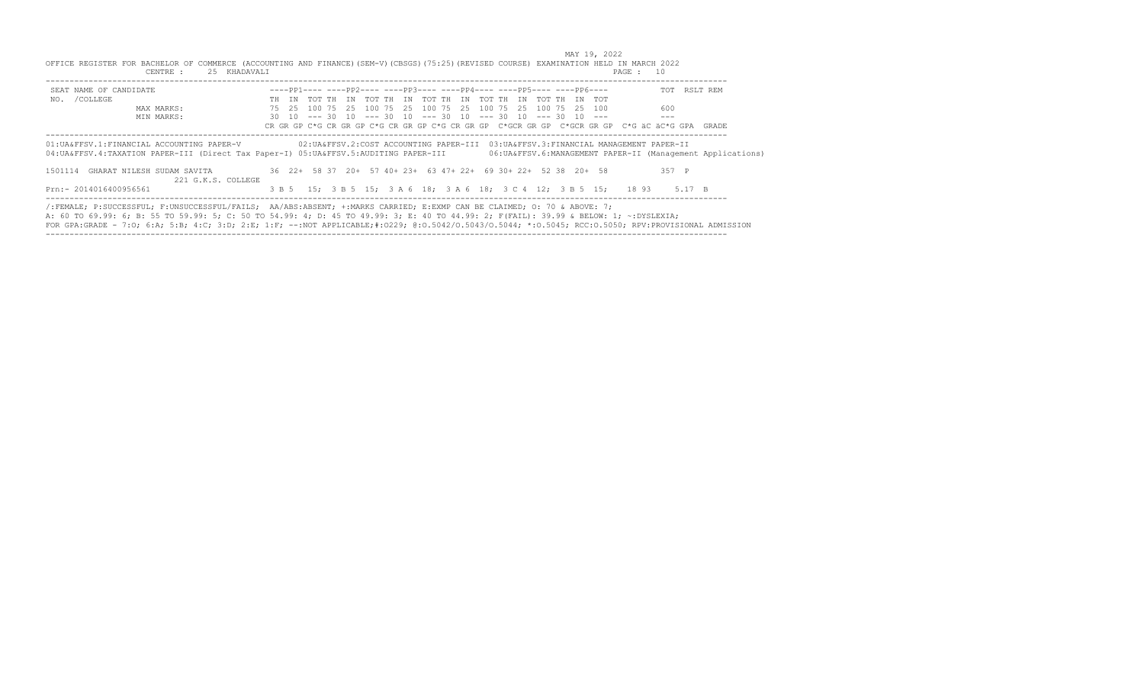| OFFICE REGISTER FOR BACHELOR OF COMMERCE (ACCOUNTING AND FINANCE) (SEM-V) (CBSGS) (75:25) (REVISED COURSE) EXAMINATION HELD IN MARCH 2022<br>CENTRE :                                                                                                                                                                                                                                                                   | 25 KHADAVALI       |  |                                                                                    |  |  |  |  | PAGE : 10                                                                                     |       |                                                               |
|-------------------------------------------------------------------------------------------------------------------------------------------------------------------------------------------------------------------------------------------------------------------------------------------------------------------------------------------------------------------------------------------------------------------------|--------------------|--|------------------------------------------------------------------------------------|--|--|--|--|-----------------------------------------------------------------------------------------------|-------|---------------------------------------------------------------|
| SEAT NAME OF CANDIDATE                                                                                                                                                                                                                                                                                                                                                                                                  |                    |  | $---pp1------pp2------pp3------pp4------pp5------PP5------PP6---$                  |  |  |  |  |                                                                                               |       | TOT RSLT REM                                                  |
| NO. / COLLEGE                                                                                                                                                                                                                                                                                                                                                                                                           |                    |  | TH IN TOT TH IN TOT TH IN TOT TH IN TOT TH IN TOT TH IN TOT                        |  |  |  |  |                                                                                               |       |                                                               |
| MAX MARKS:                                                                                                                                                                                                                                                                                                                                                                                                              |                    |  | 75   25   100   75   25   100   75   25   100   75   25   100   75   25   25   100 |  |  |  |  |                                                                                               | 600   |                                                               |
| MIN MARKS:                                                                                                                                                                                                                                                                                                                                                                                                              |                    |  | 30 10 --- 30 10 --- 30 10 --- 30 10 --- 30 10 --- 30 10 ---                        |  |  |  |  | CR GR GP C*G CR GR GP C*G CR GR GP C*G CR GR GP C*GCR GR GP C*GCR GR GP C*G äC äC*G GPA GRADE | $---$ |                                                               |
| 01:UA&FFSV.1:FINANCIAL ACCOUNTING PAPER-V<br>04:UA&FFSV.4:TAXATION PAPER-III (Direct Tax Paper-I) 05:UA&FFSV.5:AUDITING PAPER-III                                                                                                                                                                                                                                                                                       |                    |  |                                                                                    |  |  |  |  | 02: UA&FFSV.2: COST ACCOUNTING PAPER-III 03: UA&FFSV.3: FINANCIAL MANAGEMENT PAPER-II         |       | 06: UA&FFSV. 6: MANAGEMENT PAPER-II (Management Applications) |
| GHARAT NILESH SUDAM SAVITA<br>1501114                                                                                                                                                                                                                                                                                                                                                                                   | 221 G.K.S. COLLEGE |  | 36 22+ 58 37 20+ 57 40+ 23+ 63 47+ 22+ 69 30+ 22+ 52 38 20+ 58                     |  |  |  |  |                                                                                               | 357 P |                                                               |
| Prn:- 2014016400956561                                                                                                                                                                                                                                                                                                                                                                                                  |                    |  |                                                                                    |  |  |  |  | 3 B 5 15; 3 B 5 15; 3 A 6 18; 3 A 6 18; 3 C 4 12; 3 B 5 15; 18 93 5.17 B                      |       |                                                               |
| /:FEMALE; P:SUCCESSFUL; F:UNSUCCESSFUL/FAILS; AA/ABS:ABSENT; +:MARKS CARRIED; E:EXMP CAN BE CLAIMED; O: 70 & ABOVE: 7;<br>A: 60 TO 69.99: 6; B: 55 TO 59.99: 5; C: 50 TO 54.99: 4; D: 45 TO 49.99: 3; E: 40 TO 44.99: 2; F(FAIL): 39.99 & BELOW: 1; ~:DYSLEXIA;<br>FOR GPA:GRADE - 7:0; 6:A; 5:B; 4:C; 3:D; 2:E; 1:F; --:NOT APPLICABLE;#:0229; 0:0.5042/0.5043/0.5044; *:0.5045; RCC:0.5050; RPV:PROVISIONAL ADMISSION |                    |  |                                                                                    |  |  |  |  |                                                                                               |       |                                                               |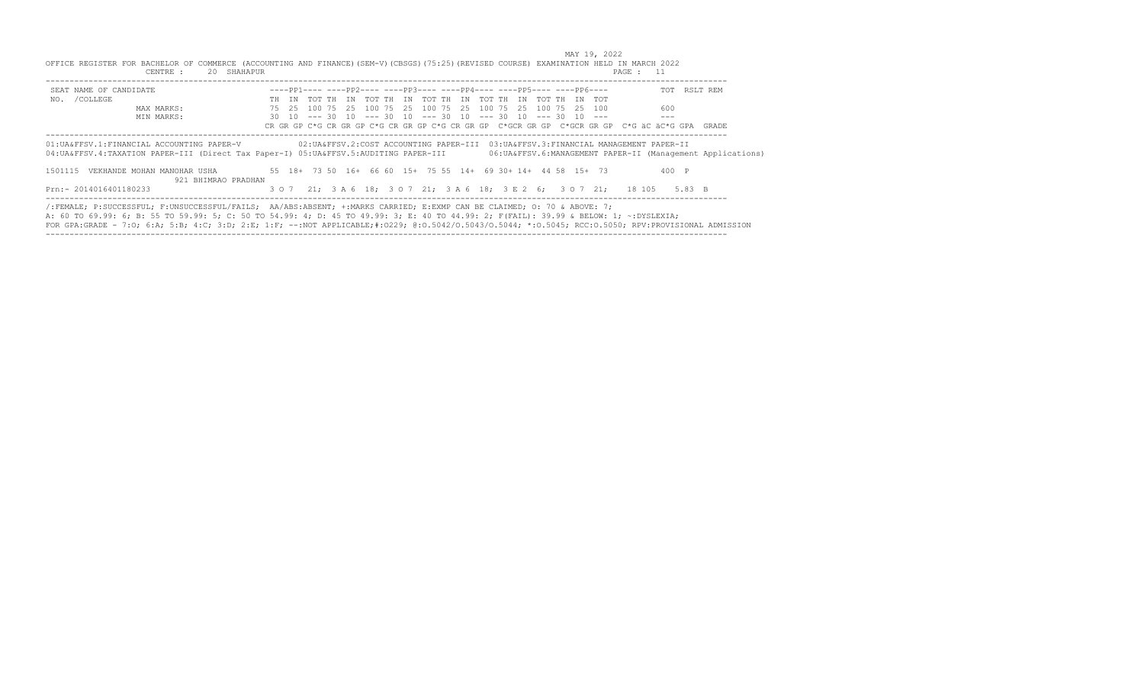| OFFICE REGISTER FOR BACHELOR OF COMMERCE (ACCOUNTING AND FINANCE) (SEM-V) (CBSGS) (75:25) (REVISED COURSE) EXAMINATION HELD IN MARCH 2022<br>CENTRE :                                                                                                                                                                                                                                                                   | 20 SHAHAPUR         |  |  |  |                                                                                    |  |  |  | PAGE : 11                                                                                     |       |                                                               |
|-------------------------------------------------------------------------------------------------------------------------------------------------------------------------------------------------------------------------------------------------------------------------------------------------------------------------------------------------------------------------------------------------------------------------|---------------------|--|--|--|------------------------------------------------------------------------------------|--|--|--|-----------------------------------------------------------------------------------------------|-------|---------------------------------------------------------------|
| SEAT NAME OF CANDIDATE                                                                                                                                                                                                                                                                                                                                                                                                  |                     |  |  |  | $---pp1------pp2------pp3------pp4------pp4------pp5------pp6---$                  |  |  |  |                                                                                               |       | TOT RSLT REM                                                  |
| NO. / COLLEGE                                                                                                                                                                                                                                                                                                                                                                                                           |                     |  |  |  | TH IN TOT TH IN TOT TH IN TOT TH IN TOT TH IN TOT TH IN TOT                        |  |  |  |                                                                                               |       |                                                               |
| MAX MARKS:                                                                                                                                                                                                                                                                                                                                                                                                              |                     |  |  |  | 75   25   100   75   25   100   75   25   100   75   25   100   75   25   25   100 |  |  |  |                                                                                               | 600   |                                                               |
| MIN MARKS:                                                                                                                                                                                                                                                                                                                                                                                                              |                     |  |  |  | 30 10 --- 30 10 --- 30 10 --- 30 10 --- 30 10 --- 30 10 ---                        |  |  |  |                                                                                               | $---$ |                                                               |
|                                                                                                                                                                                                                                                                                                                                                                                                                         |                     |  |  |  |                                                                                    |  |  |  | CR GR GP C*G CR GR GP C*G CR GR GP C*G CR GR GP C*GCR GR GP C*GCR GR GP C*G äC äC*G GPA GRADE |       |                                                               |
| 01:UA&FFSV.1:FINANCIAL ACCOUNTING PAPER-V<br>04:UA&FFSV.4:TAXATION PAPER-III (Direct Tax Paper-I) 05:UA&FFSV.5:AUDITING PAPER-III                                                                                                                                                                                                                                                                                       |                     |  |  |  |                                                                                    |  |  |  | 02: UA&FFSV.2: COST ACCOUNTING PAPER-III 03: UA&FFSV.3: FINANCIAL MANAGEMENT PAPER-II         |       | 06: UA&FFSV. 6: MANAGEMENT PAPER-II (Management Applications) |
| VEKHANDE MOHAN MANOHAR USHA<br>1501115                                                                                                                                                                                                                                                                                                                                                                                  | 921 BHIMRAO PRADHAN |  |  |  | 55 18+ 73 50 16+ 66 60 15+ 75 55 14+ 69 30+ 14+ 44 58 15+ 73                       |  |  |  |                                                                                               | 400 P |                                                               |
| Prn:- 2014016401180233                                                                                                                                                                                                                                                                                                                                                                                                  |                     |  |  |  |                                                                                    |  |  |  | 3 0 7 21; 3 A 6 18; 3 0 7 21; 3 A 6 18; 3 E 2 6; 3 0 7 21; 18 105 5.83 B                      |       |                                                               |
| /:FEMALE; P:SUCCESSFUL; F:UNSUCCESSFUL/FAILS; AA/ABS:ABSENT; +:MARKS CARRIED; E:EXMP CAN BE CLAIMED; O: 70 & ABOVE: 7;<br>A: 60 TO 69.99: 6; B: 55 TO 59.99: 5; C: 50 TO 54.99: 4; D: 45 TO 49.99: 3; E: 40 TO 44.99: 2; F(FAIL): 39.99 & BELOW: 1; ~:DYSLEXIA;<br>FOR GPA:GRADE - 7:0; 6:A; 5:B; 4:C; 3:D; 2:E; 1:F; --:NOT APPLICABLE;#:0229; 0:0.5042/0.5043/0.5044; *:0.5045; RCC:0.5050; RPV:PROVISIONAL ADMISSION |                     |  |  |  |                                                                                    |  |  |  |                                                                                               |       |                                                               |